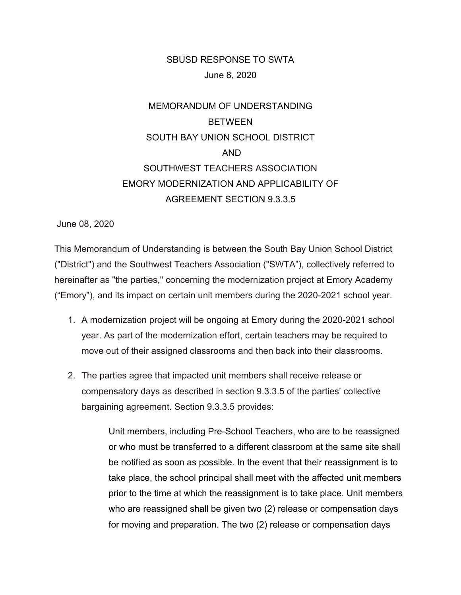## SBUSD RESPONSE TO SWTA June 8, 2020

## MEMORANDUM OF UNDERSTANDING **BETWEEN** SOUTH BAY UNION SCHOOL DISTRICT AND SOUTHWEST TEACHERS ASSOCIATION EMORY MODERNIZATION AND APPLICABILITY OF AGREEMENT SECTION 9.3.3.5

June 08, 2020

This Memorandum of Understanding is between the South Bay Union School District ("District") and the Southwest Teachers Association ("SWTA"), collectively referred to hereinafter as "the parties," concerning the modernization project at Emory Academy ("Emory"), and its impact on certain unit members during the 2020-2021 school year.

- 1. A modernization project will be ongoing at Emory during the 2020-2021 school year. As part of the modernization effort, certain teachers may be required to move out of their assigned classrooms and then back into their classrooms.
- 2. The parties agree that impacted unit members shall receive release or compensatory days as described in section 9.3.3.5 of the parties' collective bargaining agreement. Section 9.3.3.5 provides:

Unit members, including Pre-School Teachers, who are to be reassigned or who must be transferred to a different classroom at the same site shall be notified as soon as possible. In the event that their reassignment is to take place, the school principal shall meet with the affected unit members prior to the time at which the reassignment is to take place. Unit members who are reassigned shall be given two (2) release or compensation days for moving and preparation. The two (2) release or compensation days